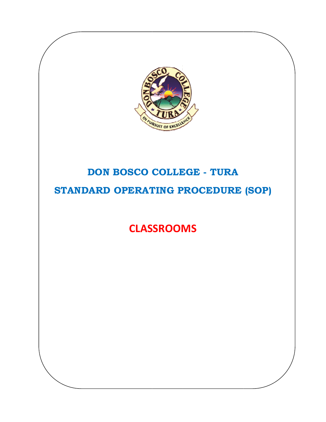

## DON BOSCO COLLEGE - TURA STANDARD OPERATING PROCEDURE (SOP)

**CLASSROOMS**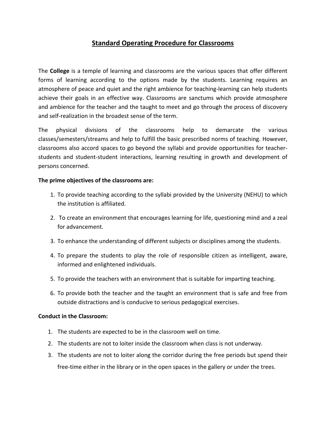## **Standard Operating Procedure for Classrooms**

The **College** is a temple of learning and classrooms are the various spaces that offer different forms of learning according to the options made by the students. Learning requires an atmosphere of peace and quiet and the right ambience for teaching‐learning can help students achieve their goals in an effective way. Classrooms are sanctums which provide atmosphere and ambience for the teacher and the taught to meet and go through the process of discovery and self‐realization in the broadest sense of the term.

The physical divisions of the classrooms help to demarcate the various classes/semesters/streams and help to fulfill the basic prescribed norms of teaching. However, classrooms also accord spaces to go beyond the syllabi and provide opportunities for teacher‐ students and student‐student interactions, learning resulting in growth and development of persons concerned.

## **The prime objectives of the classrooms are:**

- 1. To provide teaching according to the syllabi provided by the University (NEHU) to which the institution is affiliated.
- 2. To create an environment that encourages learning for life, questioning mind and a zeal for advancement.
- 3. To enhance the understanding of different subjects or disciplines among the students.
- 4. To prepare the students to play the role of responsible citizen as intelligent, aware, informed and enlightened individuals.
- 5. To provide the teachers with an environment that is suitable for imparting teaching.
- 6. To provide both the teacher and the taught an environment that is safe and free from outside distractions and is conducive to serious pedagogical exercises.

## **Conduct in the Classroom:**

- 1. The students are expected to be in the classroom well on time.
- 2. The students are not to loiter inside the classroom when class is not underway.
- 3. The students are not to loiter along the corridor during the free periods but spend their free-time either in the library or in the open spaces in the gallery or under the trees.